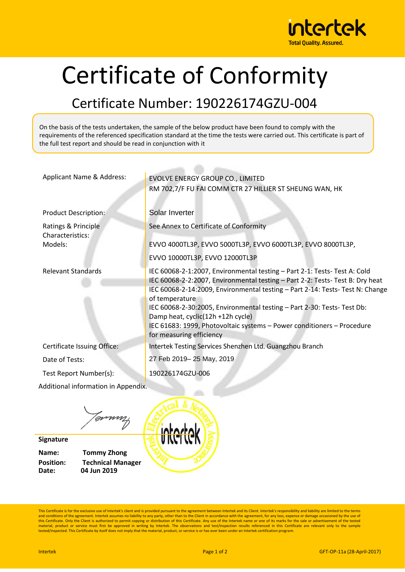

## Certificate of Conformity

## Certificate Number: 190226174GZU-004

On the basis of the tests undertaken, the sample of the below product have been found to comply with the requirements of the referenced specification standard at the time the tests were carried out. This certificate is part of the full test report and should be read in conjunction with it

| Applicant Name & Address:               | EVOLVE ENERGY GROUP CO., LIMITED                                                                                                                                                                                                                                                                                                                                                                                                                                                   |  |
|-----------------------------------------|------------------------------------------------------------------------------------------------------------------------------------------------------------------------------------------------------------------------------------------------------------------------------------------------------------------------------------------------------------------------------------------------------------------------------------------------------------------------------------|--|
|                                         | RM 702,7/F FU FAI COMM CTR 27 HILLIER ST SHEUNG WAN, HK                                                                                                                                                                                                                                                                                                                                                                                                                            |  |
| <b>Product Description:</b>             | Solar Inverter                                                                                                                                                                                                                                                                                                                                                                                                                                                                     |  |
| Ratings & Principle<br>Characteristics: | See Annex to Certificate of Conformity                                                                                                                                                                                                                                                                                                                                                                                                                                             |  |
| Models:                                 | EVVO 4000TL3P, EVVO 5000TL3P, EVVO 6000TL3P, EVVO 8000TL3P,                                                                                                                                                                                                                                                                                                                                                                                                                        |  |
|                                         | EVVO 10000TL3P, EVVO 12000TL3P                                                                                                                                                                                                                                                                                                                                                                                                                                                     |  |
| <b>Relevant Standards</b>               | IEC 60068-2-1:2007, Environmental testing - Part 2-1: Tests- Test A: Cold<br>IEC 60068-2-2:2007, Environmental testing - Part 2-2: Tests-Test B: Dry heat<br>IEC 60068-2-14:2009, Environmental testing - Part 2-14: Tests- Test N: Change<br>of temperature<br>IEC 60068-2-30:2005, Environmental testing - Part 2-30: Tests- Test Db:<br>Damp heat, cyclic(12h +12h cycle)<br>IEC 61683: 1999, Photovoltaic systems - Power conditioners - Procedure<br>for measuring efficiency |  |
| Certificate Issuing Office:             | Intertek Testing Services Shenzhen Ltd. Guangzhou Branch                                                                                                                                                                                                                                                                                                                                                                                                                           |  |
| Date of Tests:                          | 27 Feb 2019-25 May, 2019                                                                                                                                                                                                                                                                                                                                                                                                                                                           |  |
| Test Report Number(s):                  | 190226174GZU-006                                                                                                                                                                                                                                                                                                                                                                                                                                                                   |  |
| Additional information in Appendix.     |                                                                                                                                                                                                                                                                                                                                                                                                                                                                                    |  |
|                                         |                                                                                                                                                                                                                                                                                                                                                                                                                                                                                    |  |

Jonny

**Signature**

**Name: Tommy Zhong Position: Technical Manager Date: 04 Jun 2019**



This Certificate is for the exclusive use of Intertek's client and is provided pursuant to the agreement between Intertek and its Client. Intertek's responsibility and liability are limited to the terms and conditions of the agreement. Intertek assumes no liability to any party, other than to the Client in accordance with the agreement, for any loss, expense or damage occasioned by the use of<br>this Certificate. Only the Cl material, product or service must first be approved in writing by Intertek. The observations and test/inspection results referenced in this Certificate are relevant only to the sample tested/inspected. This Certificate by itself does not imply that the material, product, or service is or has ever been under an Intertek certification program.